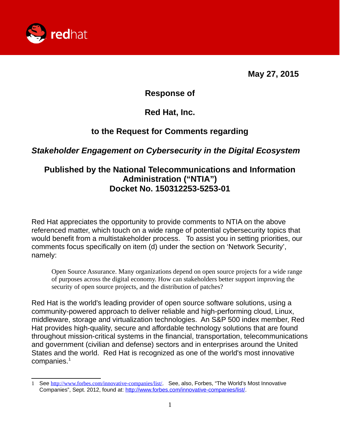

**May 27, 2015**

**Response of**

**Red Hat, Inc.**

# **to the Request for Comments regarding**

### *Stakeholder Engagement on Cybersecurity in the Digital Ecosystem*

# **Published by the National Telecommunications and Information Administration ("NTIA") Docket No. 150312253-5253-01**

Red Hat appreciates the opportunity to provide comments to NTIA on the above referenced matter, which touch on a wide range of potential cybersecurity topics that would benefit from a multistakeholder process. To assist you in setting priorities, our comments focus specifically on item (d) under the section on 'Network Security', namely:

Open Source Assurance. Many organizations depend on open source projects for a wide range of purposes across the digital economy. How can stakeholders better support improving the security of open source projects, and the distribution of patches?

Red Hat is the world's leading provider of open source software solutions, using a community-powered approach to deliver reliable and high-performing cloud, Linux, middleware, storage and virtualization technologies. An S&P 500 index member, Red Hat provides high-quality, secure and affordable technology solutions that are found throughout mission-critical systems in the financial, transportation, telecommunications and government (civilian and defense) sectors and in enterprises around the United States and the world. Red Hat is recognized as one of the world's most innovative companies. $1$ 

<span id="page-0-0"></span><sup>1</sup> See [http://www.forbes.com/innovative-companies/list/.](http://www.forbes.com/innovative-companies/list/) See, also, Forbes, "The World's Most Innovative Companies", Sept. 2012, found at: [http://www.forbes.com/innovative-companies/list/.](http://www.forbes.com/innovative-companies/list/)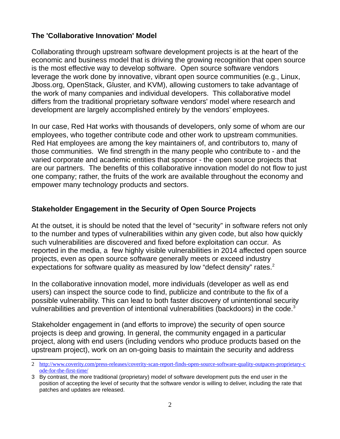### **The 'Collaborative Innovation' Model**

Collaborating through upstream software development projects is at the heart of the economic and business model that is driving the growing recognition that open source is the most effective way to develop software. Open source software vendors leverage the work done by innovative, vibrant open source communities (e.g., Linux, Jboss.org, OpenStack, Gluster, and KVM), allowing customers to take advantage of the work of many companies and individual developers. This collaborative model differs from the traditional proprietary software vendors' model where research and development are largely accomplished entirely by the vendors' employees.

In our case, Red Hat works with thousands of developers, only some of whom are our employees, who together contribute code and other work to upstream communities. Red Hat employees are among the key maintainers of, and contributors to, many of those communities. We find strength in the many people who contribute to - and the varied corporate and academic entities that sponsor - the open source projects that are our partners. The benefits of this collaborative innovation model do not flow to just one company; rather, the fruits of the work are available throughout the economy and empower many technology products and sectors.

### **Stakeholder Engagement in the Security of Open Source Projects**

At the outset, it is should be noted that the level of "security" in software refers not only to the number and types of vulnerabilities within any given code, but also how quickly such vulnerabilities are discovered and fixed before exploitation can occur. As reported in the media, a few highly visible vulnerabilities in 2014 affected open source projects, even as open source software generally meets or exceed industry expectations for software quality as measured by low "defect density" rates.<sup>[2](#page-1-0)</sup>

In the collaborative innovation model, more individuals (developer as well as end users) can inspect the source code to find, publicize and contribute to the fix of a possible vulnerability. This can lead to both faster discovery of unintentional security vulnerabilities and prevention of intentional vulnerabilities (backdoors) in the code.<sup>[3](#page-1-1)</sup>

Stakeholder engagement in (and efforts to improve) the security of open source projects is deep and growing. In general, the community engaged in a particular project, along with end users (including vendors who produce products based on the upstream project), work on an on-going basis to maintain the security and address

<span id="page-1-0"></span><sup>2</sup> [http://www.coverity.com/press-releases/coverity-scan-report-finds-open-source-software-quality-outpaces-proprietary-c](http://www.coverity.com/press-releases/coverity-scan-report-finds-open-source-software-quality-outpaces-proprietary-code-for-the-first-time/) [ode-for-the-first-time/](http://www.coverity.com/press-releases/coverity-scan-report-finds-open-source-software-quality-outpaces-proprietary-code-for-the-first-time/)

<span id="page-1-1"></span><sup>3</sup> By contrast, the more traditional (proprietary) model of software development puts the end user in the position of accepting the level of security that the software vendor is willing to deliver, including the rate that patches and updates are released.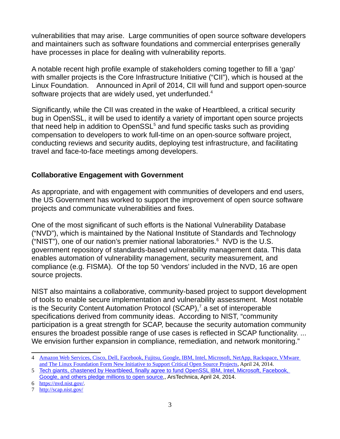vulnerabilities that may arise. Large communities of open source software developers and maintainers such as software foundations and commercial enterprises generally have processes in place for dealing with vulnerability reports.

A notable recent high profile example of stakeholders coming together to fill a 'gap' with smaller projects is the Core Infrastructure Initiative ("CII"), which is housed at the Linux Foundation. Announced in April of 2014, CII will fund and support open-source software projects that are widely used, yet underfunded. $4$ 

Significantly, while the CII was created in the wake of Heartbleed, a critical security bug in OpenSSL, it will be used to identify a variety of important open source projects that need help in addition to OpenSSL $<sup>5</sup>$  $<sup>5</sup>$  $<sup>5</sup>$  and fund specific tasks such as providing</sup> compensation to developers to work full-time on an open-source software project, conducting reviews and security audits, deploying test infrastructure, and facilitating travel and face-to-face meetings among developers.

#### **Collaborative Engagement with Government**

As appropriate, and with engagement with communities of developers and end users, the US Government has worked to support the improvement of open source software projects and communicate vulnerabilities and fixes.

One of the most significant of such efforts is the National Vulnerability Database ("NVD"), which is maintained by the National Institute of Standards and Technology ("NIST"), one of our nation's premier national laboratories. $6$  NVD is the U.S. government repository of standards-based vulnerability management data. This data enables automation of vulnerability management, security measurement, and compliance (e.g. FISMA). Of the top 50 'vendors' included in the NVD, 16 are open source projects.

NIST also maintains a collaborative, community-based project to support development of tools to enable secure implementation and vulnerability assessment. Most notable is the Security Content Automation Protocol (SCAP), $^7$  $^7$  a set of interoperable specifications derived from community ideas. According to NIST, "community participation is a great strength for SCAP, because the security automation community ensures the broadest possible range of use cases is reflected in SCAP functionality. ... We envision further expansion in compliance, remediation, and network monitoring."

<span id="page-2-0"></span><sup>4</sup> [Amazon Web Services, Cisco, Dell, Facebook, Fujitsu, Google, IBM, Intel, Microsoft, NetApp, Rackspace, VMware](http://www.linuxfoundation.org/news-media/announcements/2014/04/amazon-web-services-cisco-dell-facebook-fujitsu-google-ibm-intel)  [and The Linux Foundation Form New Initiative to Support Critical Open Source Projects,](http://www.linuxfoundation.org/news-media/announcements/2014/04/amazon-web-services-cisco-dell-facebook-fujitsu-google-ibm-intel) April 24, 2014.

<span id="page-2-1"></span><sup>5</sup> [Tech giants, chastened by Heartbleed, finally agree to fund OpenSSL IBM, Intel, Microsoft, Facebook,](http://arstechnica.com/information-technology/2014/04/tech-giants-chastened-by-heartbleed-finally-agree-to-fund-openssl/)  [Google, and others pledge millions to open source,](http://arstechnica.com/information-technology/2014/04/tech-giants-chastened-by-heartbleed-finally-agree-to-fund-openssl/), ArsTechnica, April 24, 2014.

<span id="page-2-2"></span><sup>6</sup> [https://nvd.nist.gov/.](https://nvd.nist.gov/)

<span id="page-2-3"></span><sup>7</sup> <http://scap.nist.gov/>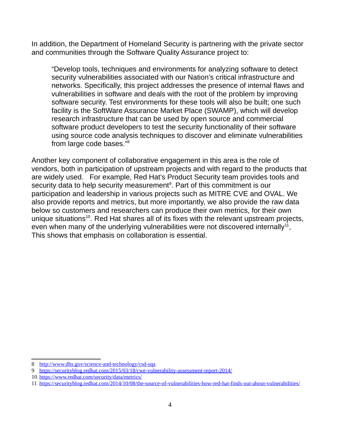In addition, the Department of Homeland Security is partnering with the private sector and communities through the Software Quality Assurance project to:

"Develop tools, techniques and environments for analyzing software to detect security vulnerabilities associated with our Nation's critical infrastructure and networks. Specifically, this project addresses the presence of internal flaws and vulnerabilities in software and deals with the root of the problem by improving software security. Test environments for these tools will also be built; one such facility is the SoftWare Assurance Market Place (SWAMP), which will develop research infrastructure that can be used by open source and commercial software product developers to test the security functionality of their software using source code analysis techniques to discover and eliminate vulnerabilities from large code bases."[8](#page-3-0)

Another key component of collaborative engagement in this area is the role of vendors, both in participation of upstream projects and with regard to the products that are widely used. For example, Red Hat's Product Security team provides tools and security data to help security measurement<sup>[9](#page-3-1)</sup>. Part of this commitment is our participation and leadership in various projects such as MITRE CVE and OVAL. We also provide reports and metrics, but more importantly, we also provide the raw data below so customers and researchers can produce their own metrics, for their own unique situations<sup>[10](#page-3-2)</sup>. Red Hat shares all of its fixes with the relevant upstream projects, even when many of the underlying vulnerabilities were not discovered internally $^{11}$  $^{11}$  $^{11}$ , This shows that emphasis on collaboration is essential.

<span id="page-3-0"></span><sup>8</sup> <http://www.dhs.gov/science-and-technology/csd-sqa>

<span id="page-3-1"></span><sup>9</sup> <https://securityblog.redhat.com/2015/03/18/cwe-vulnerability-assessment-report-2014/>

<span id="page-3-2"></span><sup>10</sup> <https://www.redhat.com/security/data/metrics/>

<span id="page-3-3"></span><sup>11</sup> <https://securityblog.redhat.com/2014/10/08/the-source-of-vulnerabilities-how-red-hat-finds-out-about-vulnerabilities/>